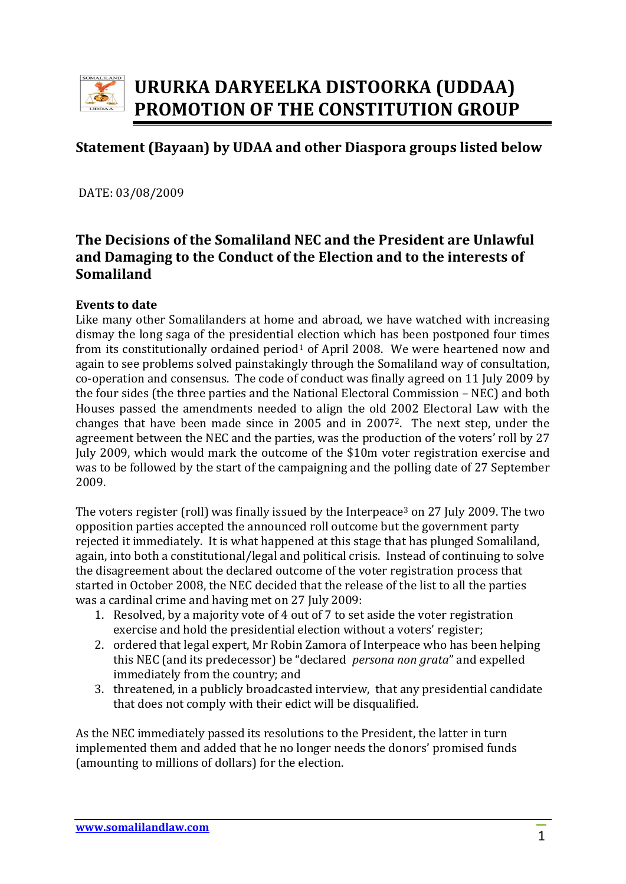

# **URURKA DARYEELKA DISTOORKA (UDDAA) PROMOTION OF THE CONSTITUTION GROUP**

## **Statement (Bayaan) by UDAA and other Diaspora groups listed below**

DATE: 03/08/2009

## **The Decisions of the Somaliland NEC and the President are Unlawful and Damaging to the Conduct of the Election and to the interests of Somaliland**

#### **Events to date**

Like many other Somalilanders at home and abroad, we have watched with increasing dismay the long saga of the presidential election which has been postponed four times from its constitutionally ordained period<sup>1</sup> of April 2008. We were heartened now and again to see problems solved painstakingly through the Somaliland way of consultation, co‐operation and consensus. The code of conduct was finally agreed on 11 July 2009 by the four sides (the three parties and the National Electoral Commission – NEC) and both Houses passed the amendments needed to align the old 2002 Electoral Law with the changes that have been made since in 2005 and in 20072. The next step, under the agreement between the NEC and the parties, was the production of the voters' roll by 27 July 2009, which would mark the outcome of the \$10m voter registration exercise and was to be followed by the start of the campaigning and the polling date of 27 September 2009.

The voters register (roll) was finally issued by the Interpeace<sup>3</sup> on 27 July 2009. The two opposition parties accepted the announced roll outcome but the government party rejected it immediately. It is what happened at this stage that has plunged Somaliland, again, into both a constitutional/legal and political crisis. Instead of continuing to solve the disagreement about the declared outcome of the voter registration process that started in October 2008, the NEC decided that the release of the list to all the parties was a cardinal crime and having met on 27 July 2009:

- 1. Resolved, by a majority vote of 4 out of 7 to set aside the voter registration exercise and hold the presidential election without a voters' register;
- 2. ordered that legal expert, Mr Robin Zamora of Interpeace who has been helping this NEC (and its predecessor) be "declared *persona non grata*" and expelled immediately from the country; and
- 3. threatened, in a publicly broadcasted interview, that any presidential candidate that does not comply with their edict will be disqualified.

As the NEC immediately passed its resolutions to the President, the latter in turn implemented them and added that he no longer needs the donors' promised funds (amounting to millions of dollars) for the election.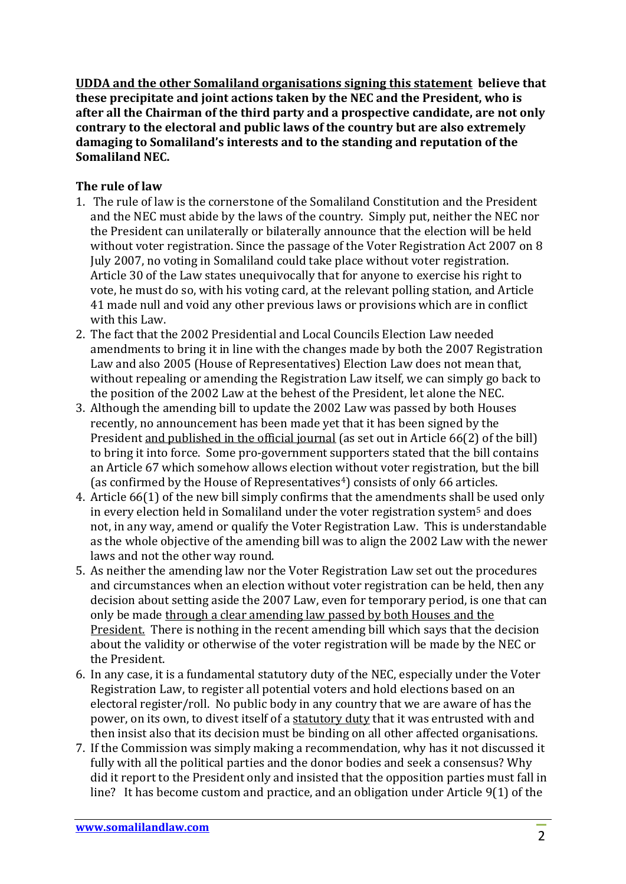**UDDA and the other Somaliland organisations signing this statement believe that these precipitate and joint actions taken by the NEC and the President, who is after all the Chairman of the third party and a prospective candidate, are not only contrary to the electoral and public laws of the country but are also extremely damaging to Somaliland's interests and to the standing and reputation of the Somaliland NEC.** 

#### **The rule of law**

- 1. The rule of law is the cornerstone of the Somaliland Constitution and the President and the NEC must abide by the laws of the country. Simply put, neither the NEC nor the President can unilaterally or bilaterally announce that the election will be held without voter registration. Since the passage of the Voter Registration Act 2007 on 8 July 2007, no voting in Somaliland could take place without voter registration. Article 30 of the Law states unequivocally that for anyone to exercise his right to vote, he must do so, with his voting card, at the relevant polling station, and Article 41 made null and void any other previous laws or provisions which are in conflict with this Law.
- 2. The fact that the 2002 Presidential and Local Councils Election Law needed amendments to bring it in line with the changes made by both the 2007 Registration Law and also 2005 (House of Representatives) Election Law does not mean that, without repealing or amending the Registration Law itself, we can simply go back to the position of the 2002 Law at the behest of the President, let alone the NEC.
- 3. Although the amending bill to update the 2002 Law was passed by both Houses recently, no announcement has been made yet that it has been signed by the President and published in the official journal (as set out in Article 66(2) of the bill) to bring it into force. Some pro‐government supporters stated that the bill contains an Article 67 which somehow allows election without voter registration, but the bill (as confirmed by the House of Representatives $4$ ) consists of only 66 articles.
- 4. Article 66(1) of the new bill simply confirms that the amendments shall be used only in every election held in Somaliland under the voter registration system<sup>5</sup> and does not, in any way, amend or qualify the Voter Registration Law. This is understandable as the whole objective of the amending bill was to align the 2002 Law with the newer laws and not the other way round.
- 5. As neither the amending law nor the Voter Registration Law set out the procedures and circumstances when an election without voter registration can be held, then any decision about setting aside the 2007 Law, even for temporary period, is one that can only be made through a clear amending law passed by both Houses and the President. There is nothing in the recent amending bill which says that the decision about the validity or otherwise of the voter registration will be made by the NEC or the President.
- 6. In any case, it is a fundamental statutory duty of the NEC, especially under the Voter Registration Law, to register all potential voters and hold elections based on an electoral register/roll. No public body in any country that we are aware of has the power, on its own, to divest itself of a statutory duty that it was entrusted with and then insist also that its decision must be binding on all other affected organisations.
- 7. If the Commission was simply making a recommendation, why has it not discussed it fully with all the political parties and the donor bodies and seek a consensus? Why did it report to the President only and insisted that the opposition parties must fall in line? It has become custom and practice, and an obligation under Article 9(1) of the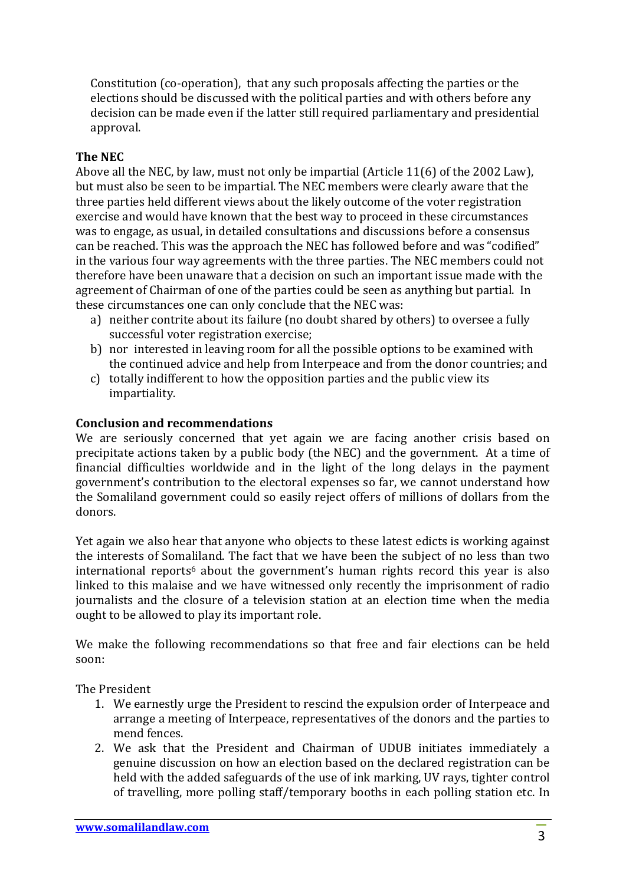Constitution (co‐operation), that any such proposals affecting the parties or the elections should be discussed with the political parties and with others before any decision can be made even if the latter still required parliamentary and presidential approval.

### **The NEC**

Above all the NEC, by law, must not only be impartial (Article 11(6) of the 2002 Law), but must also be seen to be impartial. The NEC members were clearly aware that the three parties held different views about the likely outcome of the voter registration exercise and would have known that the best way to proceed in these circumstances was to engage, as usual, in detailed consultations and discussions before a consensus can be reached. This was the approach the NEC has followed before and was "codified" in the various four way agreements with the three parties. The NEC members could not therefore have been unaware that a decision on such an important issue made with the agreement of Chairman of one of the parties could be seen as anything but partial. In these circumstances one can only conclude that the NEC was:

- a) neither contrite about its failure (no doubt shared by others) to oversee a fully successful voter registration exercise;
- b) nor interested in leaving room for all the possible options to be examined with the continued advice and help from Interpeace and from the donor countries; and
- c) totally indifferent to how the opposition parties and the public view its impartiality.

#### **Conclusion and recommendations**

We are seriously concerned that yet again we are facing another crisis based on precipitate actions taken by a public body (the NEC) and the government. At a time of financial difficulties worldwide and in the light of the long delays in the payment government's contribution to the electoral expenses so far, we cannot understand how the Somaliland government could so easily reject offers of millions of dollars from the donors.

Yet again we also hear that anyone who objects to these latest edicts is working against the interests of Somaliland. The fact that we have been the subject of no less than two  $international$  reports<sup>6</sup> about the government's human rights record this vear is also linked to this malaise and we have witnessed only recently the imprisonment of radio journalists and the closure of a television station at an election time when the media ought to be allowed to play its important role.

We make the following recommendations so that free and fair elections can be held soon:

The President

- 1. We earnestly urge the President to rescind the expulsion order of Interpeace and arrange a meeting of Interpeace, representatives of the donors and the parties to mend fences.
- 2. We ask that the President and Chairman of UDUB initiates immediately a genuine discussion on how an election based on the declared registration can be held with the added safeguards of the use of ink marking, UV rays, tighter control of travelling, more polling staff/temporary booths in each polling station etc. In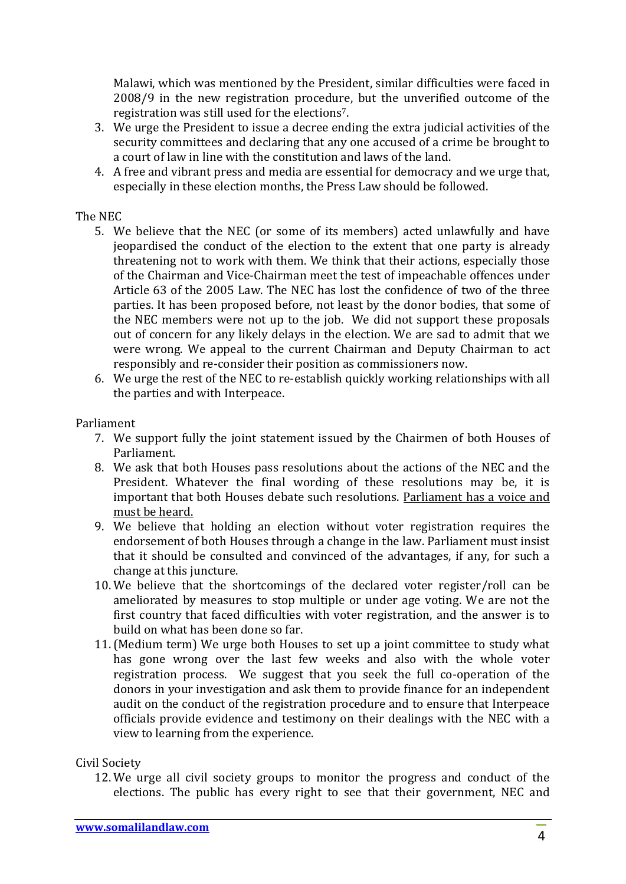Malawi, which was mentioned by the President, similar difficulties were faced in 2008/9 in the new registration procedure, but the unverified outcome of the registration was still used for the elections7.

- 3. We urge the President to issue a decree ending the extra judicial activities of the security committees and declaring that any one accused of a crime be brought to a court of law in line with the constitution and laws of the land.
- 4. A free and vibrant press and media are essential for democracy and we urge that, especially in these election months, the Press Law should be followed.

#### The NEC

- 5. We believe that the NEC (or some of its members) acted unlawfully and have jeopardised the conduct of the election to the extent that one party is already threatening not to work with them. We think that their actions, especially those of the Chairman and Vice‐Chairman meet the test of impeachable offences under Article 63 of the 2005 Law. The NEC has lost the confidence of two of the three parties. It has been proposed before, not least by the donor bodies, that some of the NEC members were not up to the job. We did not support these proposals out of concern for any likely delays in the election. We are sad to admit that we were wrong. We appeal to the current Chairman and Deputy Chairman to act responsibly and re‐consider their position as commissioners now.
- 6. We urge the rest of the NEC to re‐establish quickly working relationships with all the parties and with Interpeace.

#### Parliament

- 7. We support fully the joint statement issued by the Chairmen of both Houses of Parliament.
- 8. We ask that both Houses pass resolutions about the actions of the NEC and the President. Whatever the final wording of these resolutions may be, it is important that both Houses debate such resolutions. Parliament has a voice and must be heard.
- 9. We believe that holding an election without voter registration requires the endorsement of both Houses through a change in the law. Parliament must insist that it should be consulted and convinced of the advantages, if any, for such a change at this juncture.
- 10. We believe that the shortcomings of the declared voter register/roll can be ameliorated by measures to stop multiple or under age voting. We are not the first country that faced difficulties with voter registration, and the answer is to build on what has been done so far.
- 11.(Medium term) We urge both Houses to set up a joint committee to study what has gone wrong over the last few weeks and also with the whole voter registration process. We suggest that you seek the full co-operation of the donors in your investigation and ask them to provide finance for an independent audit on the conduct of the registration procedure and to ensure that Interpeace officials provide evidence and testimony on their dealings with the NEC with a view to learning from the experience.

#### Civil Society

12. We urge all civil society groups to monitor the progress and conduct of the elections. The public has every right to see that their government, NEC and